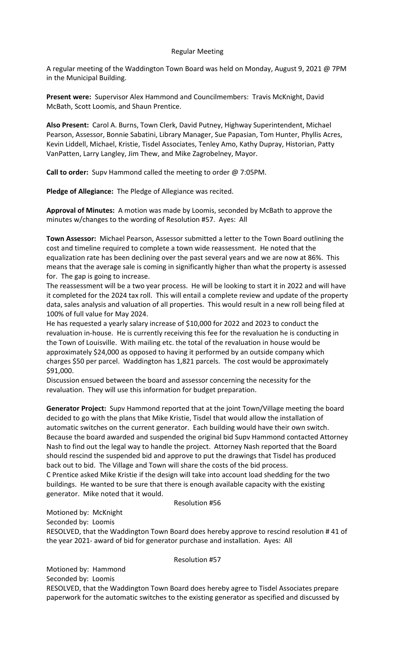## Regular Meeting

A regular meeting of the Waddington Town Board was held on Monday, August 9, 2021 @ 7PM in the Municipal Building.

**Present were:** Supervisor Alex Hammond and Councilmembers: Travis McKnight, David McBath, Scott Loomis, and Shaun Prentice.

**Also Present:** Carol A. Burns, Town Clerk, David Putney, Highway Superintendent, Michael Pearson, Assessor, Bonnie Sabatini, Library Manager, Sue Papasian, Tom Hunter, Phyllis Acres, Kevin Liddell, Michael, Kristie, Tisdel Associates, Tenley Amo, Kathy Dupray, Historian, Patty VanPatten, Larry Langley, Jim Thew, and Mike Zagrobelney, Mayor.

**Call to order:** Supv Hammond called the meeting to order @ 7:05PM.

**Pledge of Allegiance:** The Pledge of Allegiance was recited.

**Approval of Minutes:** A motion was made by Loomis, seconded by McBath to approve the minutes w/changes to the wording of Resolution #57. Ayes: All

**Town Assessor:** Michael Pearson, Assessor submitted a letter to the Town Board outlining the cost and timeline required to complete a town wide reassessment. He noted that the equalization rate has been declining over the past several years and we are now at 86%. This means that the average sale is coming in significantly higher than what the property is assessed for. The gap is going to increase.

The reassessment will be a two year process. He will be looking to start it in 2022 and will have it completed for the 2024 tax roll. This will entail a complete review and update of the property data, sales analysis and valuation of all properties. This would result in a new roll being filed at 100% of full value for May 2024.

He has requested a yearly salary increase of \$10,000 for 2022 and 2023 to conduct the revaluation in-house. He is currently receiving this fee for the revaluation he is conducting in the Town of Louisville. With mailing etc. the total of the revaluation in house would be approximately \$24,000 as opposed to having it performed by an outside company which charges \$50 per parcel. Waddington has 1,821 parcels. The cost would be approximately \$91,000.

Discussion ensued between the board and assessor concerning the necessity for the revaluation. They will use this information for budget preparation.

**Generator Project:** Supv Hammond reported that at the joint Town/Village meeting the board decided to go with the plans that Mike Kristie, Tisdel that would allow the installation of automatic switches on the current generator. Each building would have their own switch. Because the board awarded and suspended the original bid Supv Hammond contacted Attorney Nash to find out the legal way to handle the project. Attorney Nash reported that the Board should rescind the suspended bid and approve to put the drawings that Tisdel has produced back out to bid. The Village and Town will share the costs of the bid process. C Prentice asked Mike Kristie if the design will take into account load shedding for the two

buildings. He wanted to be sure that there is enough available capacity with the existing generator. Mike noted that it would.

#### Resolution #56

Motioned by: McKnight

Seconded by: Loomis

RESOLVED, that the Waddington Town Board does hereby approve to rescind resolution # 41 of the year 2021- award of bid for generator purchase and installation. Ayes: All

### Resolution #57

Motioned by: Hammond Seconded by: Loomis RESOLVED, that the Waddington Town Board does hereby agree to Tisdel Associates prepare paperwork for the automatic switches to the existing generator as specified and discussed by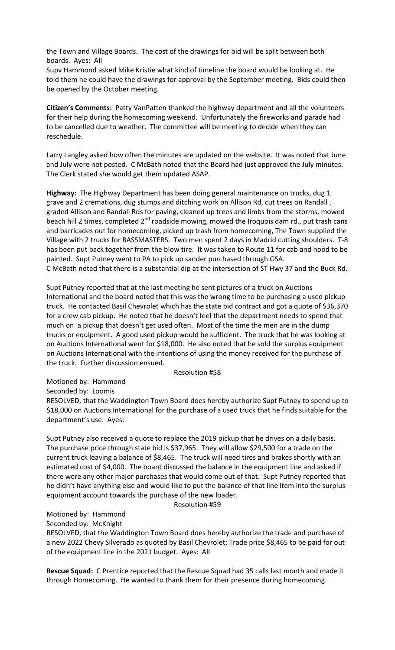the Town and Village Boards. The cost of the drawings for bid will be split between both boards. Ayes: All

Supv Hammond asked Mike Kristie what kind of timeline the board would be looking at. He told them he could have the drawings for approval by the September meeting. Bids could then be opened by the October meeting.

**Citizen's Comments:** Patty VanPatten thanked the highway department and all the volunteers for their help during the homecoming weekend. Unfortunately the fireworks and parade had to be cancelled due to weather. The committee will be meeting to decide when they can reschedule.

Larry Langley asked how often the minutes are updated on the website. It was noted that June and July were not posted. C McBath noted that the Board had just approved the July minutes. The Clerk stated she would get them updated ASAP.

**Highway:** The Highway Department has been doing general maintenance on trucks, dug 1 grave and 2 cremations, dug stumps and ditching work on Allison Rd, cut trees on Randall , graded Allison and Randall Rds for paving, cleaned up trees and limbs from the storms, mowed beach hill 2 times, completed  $2^{nd}$  roadside mowing, mowed the Iroquois dam rd., put trash cans and barricades out for homecoming, picked up trash from homecoming, The Town supplied the Village with 2 trucks for BASSMASTERS. Two men spent 2 days in Madrid cutting shoulders. T-8 has been put back together from the blow tire. It was taken to Route 11 for cab and hood to be painted. Supt Putney went to PA to pick up sander purchased through GSA.

C McBath noted that there is a substantial dip at the intersection of ST Hwy 37 and the Buck Rd.

Supt Putney reported that at the last meeting he sent pictures of a truck on Auctions International and the board noted that this was the wrong time to be purchasing a used pickup truck. He contacted Basil Chevrolet which has the state bid contract and got a quote of \$36,370 for a crew cab pickup. He noted that he doesn't feel that the department needs to spend that much on a pickup that doesn't get used often. Most of the time the men are in the dump trucks or equipment. A good used pickup would be sufficient. The truck that he was looking at on Auctions International went for \$18,000. He also noted that he sold the surplus equipment on Auctions International with the intentions of using the money received for the purchase of the truck. Further discussion ensued.

Resolution #58

Motioned by: Hammond

Seconded by: Loomis

RESOLVED, that the Waddington Town Board does hereby authorize Supt Putney to spend up to \$18,000 on Auctions International for the purchase of a used truck that he finds suitable for the department's use. Ayes:

Supt Putney also received a quote to replace the 2019 pickup that he drives on a daily basis. The purchase price through state bid is \$37,965. They will allow \$29,500 for a trade on the current truck leaving a balance of \$8,465. The truck will need tires and brakes shortly with an estimated cost of \$4,000. The board discussed the balance in the equipment line and asked if there were any other major purchases that would come out of that. Supt Putney reported that he didn't have anything else and would like to put the balance of that line item into the surplus equipment account towards the purchase of the new loader.

#### Resolution #59

Motioned by: Hammond

Seconded by: McKnight

RESOLVED, that the Waddington Town Board does hereby authorize the trade and purchase of a new 2022 Chevy Silverado as quoted by Basil Chevrolet; Trade price \$8,465 to be paid for out of the equipment line in the 2021 budget. Ayes: All

**Rescue Squad:** C Prentice reported that the Rescue Squad had 35 calls last month and made it through Homecoming. He wanted to thank them for their presence during homecoming.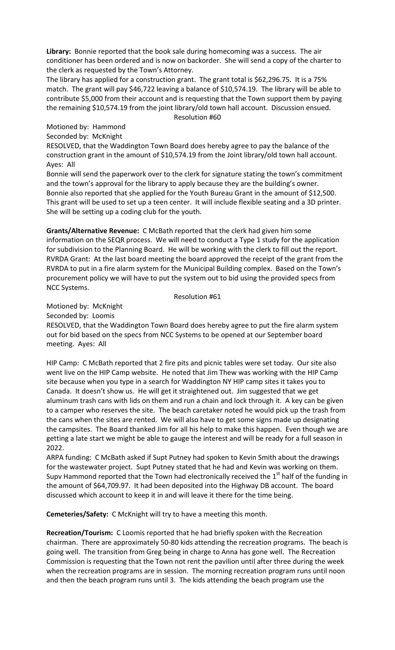**Library:** Bonnie reported that the book sale during homecoming was a success. The air conditioner has been ordered and is now on backorder. She will send a copy of the charter to the clerk as requested by the Town's Attorney.

The library has applied for a construction grant. The grant total is \$62,296.75. It is a 75% match. The grant will pay \$46,722 leaving a balance of \$10,574.19. The library will be able to contribute \$5,000 from their account and is requesting that the Town support them by paying the remaining \$10,574.19 from the joint library/old town hall account. Discussion ensued. Resolution #60

Motioned by: Hammond

Seconded by: McKnight

RESOLVED, that the Waddington Town Board does hereby agree to pay the balance of the construction grant in the amount of \$10,574.19 from the Joint library/old town hall account. Ayes: All

Bonnie will send the paperwork over to the clerk for signature stating the town's commitment and the town's approval for the library to apply because they are the building's owner. Bonnie also reported that she applied for the Youth Bureau Grant in the amount of \$12,500. This grant will be used to set up a teen center. It will include flexible seating and a 3D printer. She will be setting up a coding club for the youth.

**Grants/Alternative Revenue:** C McBath reported that the clerk had given him some information on the SEQR process. We will need to conduct a Type 1 study for the application for subdivision to the Planning Board. He will be working with the clerk to fill out the report. RVRDA Grant: At the last board meeting the board approved the receipt of the grant from the RVRDA to put in a fire alarm system for the Municipal Building complex. Based on the Town's procurement policy we will have to put the system out to bid using the provided specs from NCC Systems.

#### Resolution #61

Motioned by: McKnight

Seconded by: Loomis

RESOLVED, that the Waddington Town Board does hereby agree to put the fire alarm system out for bid based on the specs from NCC Systems to be opened at our September board meeting. Ayes: All

HIP Camp: C McBath reported that 2 fire pits and picnic tables were set today. Our site also went live on the HIP Camp website. He noted that Jim Thew was working with the HIP Camp site because when you type in a search for Waddington NY HIP camp sites it takes you to Canada. It doesn't show us. He will get it straightened out. Jim suggested that we get aluminum trash cans with lids on them and run a chain and lock through it. A key can be given to a camper who reserves the site. The beach caretaker noted he would pick up the trash from the cans when the sites are rented. We will also have to get some signs made up designating the campsites. The Board thanked Jim for all his help to make this happen. Even though we are getting a late start we might be able to gauge the interest and will be ready for a full season in 2022.

ARPA funding: C McBath asked if Supt Putney had spoken to Kevin Smith about the drawings for the wastewater project. Supt Putney stated that he had and Kevin was working on them. Supv Hammond reported that the Town had electronically received the  $1<sup>st</sup>$  half of the funding in the amount of \$64,709.97. It had been deposited into the Highway DB account. The board discussed which account to keep it in and will leave it there for the time being.

**Cemeteries/Safety:** C McKnight will try to have a meeting this month.

**Recreation/Tourism:** C Loomis reported that he had briefly spoken with the Recreation chairman. There are approximately 50-80 kids attending the recreation programs. The beach is going well. The transition from Greg being in charge to Anna has gone well. The Recreation Commission is requesting that the Town not rent the pavilion until after three during the week when the recreation programs are in session. The morning recreation program runs until noon and then the beach program runs until 3. The kids attending the beach program use the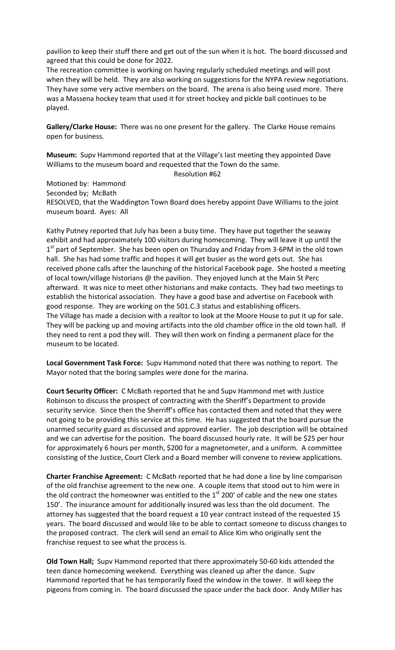pavilion to keep their stuff there and get out of the sun when it is hot. The board discussed and agreed that this could be done for 2022.

The recreation committee is working on having regularly scheduled meetings and will post when they will be held. They are also working on suggestions for the NYPA review negotiations. They have some very active members on the board. The arena is also being used more. There was a Massena hockey team that used it for street hockey and pickle ball continues to be played.

**Gallery/Clarke House:** There was no one present for the gallery. The Clarke House remains open for business.

**Museum:** Supv Hammond reported that at the Village's last meeting they appointed Dave Williams to the museum board and requested that the Town do the same.

Resolution #62

Motioned by: Hammond Seconded by; McBath RESOLVED, that the Waddington Town Board does hereby appoint Dave Williams to the joint museum board. Ayes: All

Kathy Putney reported that July has been a busy time. They have put together the seaway exhibit and had approximately 100 visitors during homecoming. They will leave it up until the  $1<sup>st</sup>$  part of September. She has been open on Thursday and Friday from 3-6PM in the old town hall. She has had some traffic and hopes it will get busier as the word gets out. She has received phone calls after the launching of the historical Facebook page. She hosted a meeting of local town/village historians @ the pavilion. They enjoyed lunch at the Main St Perc afterward. It was nice to meet other historians and make contacts. They had two meetings to establish the historical association. They have a good base and advertise on Facebook with good response. They are working on the 501.C.3 status and establishing officers. The Village has made a decision with a realtor to look at the Moore House to put it up for sale. They will be packing up and moving artifacts into the old chamber office in the old town hall. If they need to rent a pod they will. They will then work on finding a permanent place for the museum to be located.

**Local Government Task Force:** Supv Hammond noted that there was nothing to report. The Mayor noted that the boring samples were done for the marina.

**Court Security Officer:** C McBath reported that he and Supv Hammond met with Justice Robinson to discuss the prospect of contracting with the Sheriff's Department to provide security service. Since then the Sherriff's office has contacted them and noted that they were not going to be providing this service at this time. He has suggested that the board pursue the unarmed security guard as discussed and approved earlier. The job description will be obtained and we can advertise for the position. The board discussed hourly rate. It will be \$25 per hour for approximately 6 hours per month, \$200 for a magnetometer, and a uniform. A committee consisting of the Justice, Court Clerk and a Board member will convene to review applications.

**Charter Franchise Agreement:** C McBath reported that he had done a line by line comparison of the old franchise agreement to the new one. A couple items that stood out to him were in the old contract the homeowner was entitled to the  $1<sup>st</sup>$  200' of cable and the new one states 150'. The insurance amount for additionally insured was less than the old document. The attorney has suggested that the board request a 10 year contract instead of the requested 15 years. The board discussed and would like to be able to contact someone to discuss changes to the proposed contract. The clerk will send an email to Alice Kim who originally sent the franchise request to see what the process is.

**Old Town Hall;** Supv Hammond reported that there approximately 50-60 kids attended the teen dance homecoming weekend. Everything was cleaned up after the dance. Supv Hammond reported that he has temporarily fixed the window in the tower. It will keep the pigeons from coming in. The board discussed the space under the back door. Andy Miller has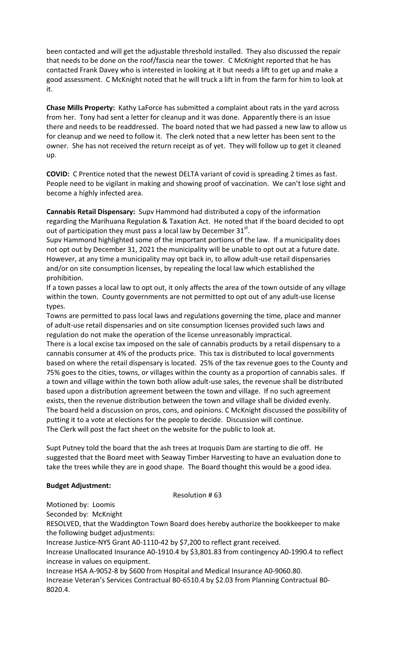been contacted and will get the adjustable threshold installed. They also discussed the repair that needs to be done on the roof/fascia near the tower. C McKnight reported that he has contacted Frank Davey who is interested in looking at it but needs a lift to get up and make a good assessment. C McKnight noted that he will truck a lift in from the farm for him to look at it.

**Chase Mills Property:** Kathy LaForce has submitted a complaint about rats in the yard across from her. Tony had sent a letter for cleanup and it was done. Apparently there is an issue there and needs to be readdressed. The board noted that we had passed a new law to allow us for cleanup and we need to follow it. The clerk noted that a new letter has been sent to the owner. She has not received the return receipt as of yet. They will follow up to get it cleaned up.

**COVID:** C Prentice noted that the newest DELTA variant of covid is spreading 2 times as fast. People need to be vigilant in making and showing proof of vaccination. We can't lose sight and become a highly infected area.

**Cannabis Retail Dispensary:** Supv Hammond had distributed a copy of the information regarding the Marihuana Regulation & Taxation Act. He noted that if the board decided to opt out of participation they must pass a local law by December  $31^{st}$ .

Supv Hammond highlighted some of the important portions of the law. If a municipality does not opt out by December 31, 2021 the municipality will be unable to opt out at a future date. However, at any time a municipality may opt back in, to allow adult-use retail dispensaries and/or on site consumption licenses, by repealing the local law which established the prohibition.

If a town passes a local law to opt out, it only affects the area of the town outside of any village within the town. County governments are not permitted to opt out of any adult-use license types.

Towns are permitted to pass local laws and regulations governing the time, place and manner of adult-use retail dispensaries and on site consumption licenses provided such laws and regulation do not make the operation of the license unreasonably impractical.

There is a local excise tax imposed on the sale of cannabis products by a retail dispensary to a cannabis consumer at 4% of the products price. This tax is distributed to local governments based on where the retail dispensary is located. 25% of the tax revenue goes to the County and 75% goes to the cities, towns, or villages within the county as a proportion of cannabis sales. If a town and village within the town both allow adult-use sales, the revenue shall be distributed based upon a distribution agreement between the town and village. If no such agreement exists, then the revenue distribution between the town and village shall be divided evenly. The board held a discussion on pros, cons, and opinions. C McKnight discussed the possibility of putting it to a vote at elections for the people to decide. Discussion will continue. The Clerk will post the fact sheet on the website for the public to look at.

Supt Putney told the board that the ash trees at Iroquois Dam are starting to die off. He suggested that the Board meet with Seaway Timber Harvesting to have an evaluation done to take the trees while they are in good shape. The Board thought this would be a good idea.

# **Budget Adjustment:**

Resolution # 63

Motioned by: Loomis

Seconded by: McKnight

RESOLVED, that the Waddington Town Board does hereby authorize the bookkeeper to make the following budget adjustments:

Increase Justice-NYS Grant A0-1110-42 by \$7,200 to reflect grant received.

Increase Unallocated Insurance A0-1910.4 by \$3,801.83 from contingency A0-1990.4 to reflect increase in values on equipment.

Increase HSA A-9052-8 by \$600 from Hospital and Medical Insurance A0-9060.80. Increase Veteran's Services Contractual B0-6510.4 by \$2.03 from Planning Contractual B0- 8020.4.